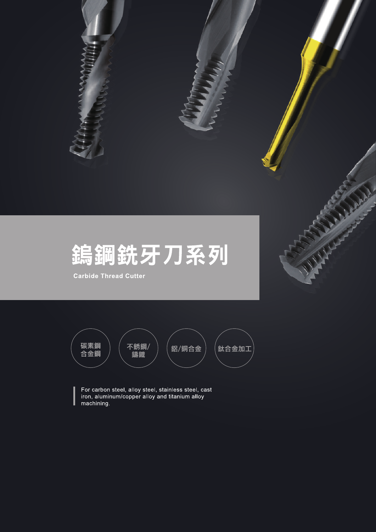

**Carbide Thread Cutter** 



For carbon steel, alloy steel, stainless steel, cast iron, aluminum/copper alloy and titanium alloy machining.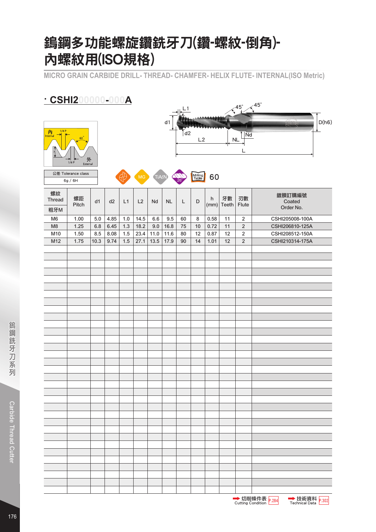### 鎢鋼多功能螺旋鑽銑牙刀(鑽-螺紋-倒角)- 內螺紋用(ISO規格)

**MICRO GRAIN CARBIDE DRILL- THREAD- CHAMFER- HELIX FLUTE- INTERNAL(ISO Metric)**

| <u>CSHI200000-000A</u><br>$\measuredangle$ 45° |                       |      |      |     |                |       |           |                |         |                  |       |                |                               |  |
|------------------------------------------------|-----------------------|------|------|-----|----------------|-------|-----------|----------------|---------|------------------|-------|----------------|-------------------------------|--|
|                                                |                       |      |      |     |                |       |           | L1             |         |                  |       | $-45^\circ$    |                               |  |
|                                                |                       |      |      |     |                |       | d1        |                |         | <b>PIERRIETE</b> |       |                | D(h6)                         |  |
| 1/4P<br>内<br>Internal                          |                       |      |      |     |                |       |           | d <sub>2</sub> |         |                  |       | Nd             |                               |  |
|                                                | 60                    |      |      |     |                |       |           |                | L2      |                  |       | NL             |                               |  |
|                                                |                       |      |      |     |                |       |           |                |         |                  |       | L              |                               |  |
|                                                | 外<br>1/8P<br>External |      |      |     |                |       |           |                |         |                  |       |                |                               |  |
|                                                | 公差 Tolerance class    |      |      |     | M <sub>G</sub> | TIALN |           |                | Milling | 60               |       |                |                               |  |
|                                                | 6g / 6H               |      |      |     |                |       |           |                |         |                  |       |                |                               |  |
| 螺紋<br>Thread                                   | 螺距                    |      |      |     |                |       |           |                |         | h                | 牙數    | 刃數             | 鍍膜訂購編號                        |  |
| 粗牙M                                            | Pitch                 | d1   | d2   | L1  | L2             | Nd    | <b>NL</b> | L              | D       | (mm)             | Teeth | Flute          | Coated<br>Order No.           |  |
| M6                                             | 1.00                  | 5.0  | 4.85 | 1.0 | 14.5           | 6.6   | 9.5       | 60             | 8       | 0.58             | 11    | $\overline{2}$ | CSHI205008-100A               |  |
| M <sub>8</sub>                                 | 1.25                  | 6.8  | 6.45 | 1.3 | 18.2           | 9.0   | 16.8      | 75             | 10      | 0.72             | 11    | $\overline{2}$ | CSHI206810-125A               |  |
| M10                                            | 1.50                  | 8.5  | 8.08 | 1.5 | 23.4           | 11.0  | 11.6      | 80             | 12      | 0.87             | 12    | $\sqrt{2}$     | CSHI208512-150A               |  |
| M12                                            | 1.75                  | 10.3 | 9.74 | 1.5 | 27.1           | 13.5  | 17.9      | 90             | 14      | 1.01             | 12    | $\sqrt{2}$     | CSHI210314-175A               |  |
|                                                |                       |      |      |     |                |       |           |                |         |                  |       |                |                               |  |
|                                                |                       |      |      |     |                |       |           |                |         |                  |       |                |                               |  |
|                                                |                       |      |      |     |                |       |           |                |         |                  |       |                |                               |  |
|                                                |                       |      |      |     |                |       |           |                |         |                  |       |                |                               |  |
|                                                |                       |      |      |     |                |       |           |                |         |                  |       |                |                               |  |
|                                                |                       |      |      |     |                |       |           |                |         |                  |       |                |                               |  |
|                                                |                       |      |      |     |                |       |           |                |         |                  |       |                |                               |  |
|                                                |                       |      |      |     |                |       |           |                |         |                  |       |                |                               |  |
|                                                |                       |      |      |     |                |       |           |                |         |                  |       |                |                               |  |
|                                                |                       |      |      |     |                |       |           |                |         |                  |       |                |                               |  |
|                                                |                       |      |      |     |                |       |           |                |         |                  |       |                |                               |  |
|                                                |                       |      |      |     |                |       |           |                |         |                  |       |                |                               |  |
|                                                |                       |      |      |     |                |       |           |                |         |                  |       |                |                               |  |
|                                                |                       |      |      |     |                |       |           |                |         |                  |       |                |                               |  |
|                                                |                       |      |      |     |                |       |           |                |         |                  |       |                |                               |  |
|                                                |                       |      |      |     |                |       |           |                |         |                  |       |                |                               |  |
|                                                |                       |      |      |     |                |       |           |                |         |                  |       |                |                               |  |
|                                                |                       |      |      |     |                |       |           |                |         |                  |       |                |                               |  |
|                                                |                       |      |      |     |                |       |           |                |         |                  |       |                |                               |  |
|                                                |                       |      |      |     |                |       |           |                |         |                  |       |                |                               |  |
|                                                |                       |      |      |     |                |       |           |                |         |                  |       |                |                               |  |
|                                                |                       |      |      |     |                |       |           |                |         |                  |       |                |                               |  |
|                                                |                       |      |      |     |                |       |           |                |         |                  |       |                |                               |  |
|                                                |                       |      |      |     |                |       |           |                |         |                  |       |                |                               |  |
|                                                |                       |      |      |     |                |       |           |                |         |                  |       |                |                               |  |
|                                                |                       |      |      |     |                |       |           |                |         |                  |       |                |                               |  |
|                                                |                       |      |      |     |                |       |           |                |         |                  |       |                |                               |  |
|                                                |                       |      |      |     |                |       |           |                |         |                  |       |                |                               |  |
|                                                |                       |      |      |     |                |       |           |                |         |                  |       |                |                               |  |
|                                                |                       |      |      |     |                |       |           |                |         |                  |       |                |                               |  |
|                                                |                       |      |      |     |                |       |           |                |         |                  |       |                | → 切削條件表 P.284<br>→ 技術資料 P.302 |  |

176

切削條件表 Cutting Condition P.284 P.302

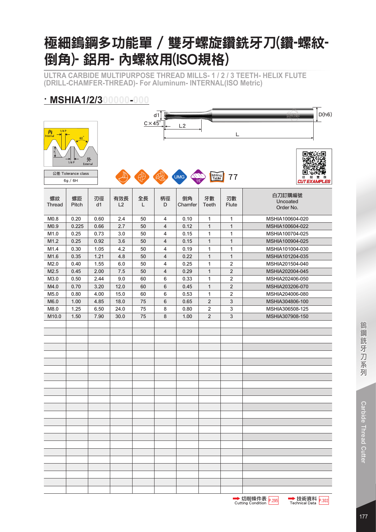# 極細鎢鋼多功能單 / 雙牙螺旋鑽銑牙刀(鑽-螺紋-倒角)- 鋁用- 內螺紋用(ISO規格)

**ULTRA CARBIDE MULTIPURPOSE THREAD MILLS- 1 / 2 / 3 TEETH- HELIX FLUTE (DRILL-CHAMFER-THREAD)- For Aluminum- INTERNAL(ISO Metric)**

#### **· MSHIA1/2/300000-000**

|               |                    |               |      |                     | d1 |            |                         |                | D(h6)                 |
|---------------|--------------------|---------------|------|---------------------|----|------------|-------------------------|----------------|-----------------------|
|               |                    |               |      | $C \times 45^\circ$ |    |            |                         |                |                       |
| 1/4P          |                    |               |      |                     |    | L2         |                         |                |                       |
| 内<br>Internal | 60 <sup>°</sup>    |               |      |                     |    |            |                         | L              |                       |
|               |                    |               |      |                     |    |            |                         |                |                       |
|               |                    |               |      |                     |    |            |                         |                |                       |
|               |                    |               |      |                     |    |            |                         |                |                       |
|               | 1/8P               | 外<br>External |      |                     |    |            |                         |                |                       |
|               |                    |               |      |                     |    |            |                         |                |                       |
|               | 公差 Tolerance class |               |      |                     |    | <b>UMG</b> | Milling<br>Table        | 77             | 切<br>削                |
|               | 6g / 6H            |               |      |                     |    |            |                         |                | <b>CUT EXAMPLES</b>   |
|               |                    |               |      |                     |    |            |                         |                |                       |
| 螺紋            | 螺距                 | 刃徑            | 有效長  | 全長                  | 柄徑 | 倒角         | 牙數                      | 刃數             | 白刀訂購編號                |
| <b>Thread</b> | Pitch              | d1            | L2   | L                   | D  | Chamfer    | <b>Teeth</b>            | <b>Flute</b>   | Uncoated<br>Order No. |
|               |                    |               |      |                     |    |            |                         |                |                       |
| M0.8          | 0.20               | 0.60          | 2.4  | 50                  | 4  | 0.10       | 1                       | 1              | MSHIA100604-020       |
| M0.9          | 0.225              | 0.66          | 2.7  | 50                  | 4  | 0.12       | 1                       | $\mathbf{1}$   | MSHIA100604-022       |
| M1.0          | 0.25               | 0.73          | 3.0  | 50                  | 4  | 0.15       | 1                       | 1              | MSHIA100704-025       |
| M1.2          | 0.25               | 0.92          | 3.6  | 50                  | 4  | 0.15       | 1                       | $\mathbf{1}$   | MSHIA100904-025       |
|               |                    |               |      |                     |    |            |                         |                | MSHIA101004-030       |
| M1.4          | 0.30               | 1.05          | 4.2  | 50                  | 4  | 0.19       | 1                       | 1              |                       |
| M1.6          | 0.35               | 1.21          | 4.8  | 50                  | 4  | 0.22       | 1                       | $\mathbf{1}$   | MSHIA101204-035       |
| M2.0          | 0.40               | 1.55          | 6.0  | 50                  | 4  | 0.25       | 1                       | $\overline{2}$ | MSHIA201504-040       |
| M2.5          | 0.45               | 2.00          | 7.5  | 50                  | 4  | 0.29       | 1                       | $\overline{2}$ | MSHIA202004-045       |
| M3.0          | 0.50               | 2.44          | 9.0  | 60                  | 6  | 0.33       | 1                       | $\overline{2}$ | MSHIA202406-050       |
| M4.0          | 0.70               | 3.20          | 12.0 | 60                  | 6  | 0.45       | 1                       | $\sqrt{2}$     | MSHIA203206-070       |
| M5.0          | 0.80               | 4.00          | 15.0 | 60                  | 6  | 0.53       | 1                       | $\sqrt{2}$     | MSHIA204006-080       |
| M6.0          | 1.00               | 4.85          | 18.0 | 75                  | 6  | 0.65       | $\overline{\mathbf{c}}$ | 3              | MSHIA304806-100       |
| M8.0          | 1.25               | 6.50          | 24.0 | 75                  | 8  | 0.80       | $\overline{2}$          | $\sqrt{3}$     | MSHIA306508-125       |
| M10.0         | 1.50               | 7.90          | 30.0 | 75                  | 8  | 1.00       | $\overline{2}$          | $\sqrt{3}$     | MSHIA307908-150       |
|               |                    |               |      |                     |    |            |                         |                |                       |
|               |                    |               |      |                     |    |            |                         |                |                       |
|               |                    |               |      |                     |    |            |                         |                |                       |
|               |                    |               |      |                     |    |            |                         |                |                       |
|               |                    |               |      |                     |    |            |                         |                |                       |
|               |                    |               |      |                     |    |            |                         |                |                       |
|               |                    |               |      |                     |    |            |                         |                |                       |
|               |                    |               |      |                     |    |            |                         |                |                       |
|               |                    |               |      |                     |    |            |                         |                |                       |
|               |                    |               |      |                     |    |            |                         |                |                       |
|               |                    |               |      |                     |    |            |                         |                |                       |
|               |                    |               |      |                     |    |            |                         |                |                       |
|               |                    |               |      |                     |    |            |                         |                |                       |
|               |                    |               |      |                     |    |            |                         |                |                       |
|               |                    |               |      |                     |    |            |                         |                |                       |
|               |                    |               |      |                     |    |            |                         |                |                       |
|               |                    |               |      |                     |    |            |                         |                |                       |
|               |                    |               |      |                     |    |            |                         |                |                       |
|               |                    |               |      |                     |    |            |                         |                |                       |
|               |                    |               |      |                     |    |            |                         |                |                       |
|               |                    |               |      |                     |    |            |                         |                |                       |
|               |                    |               |      |                     |    |            |                         |                |                       |
|               |                    |               |      |                     |    |            |                         |                |                       |
|               |                    |               |      |                     |    |            |                         |                |                       |
|               |                    |               |      |                     |    |            |                         |                |                       |
|               |                    |               |      |                     |    |            |                         |                |                       |



 $\overline{\phantom{a}}$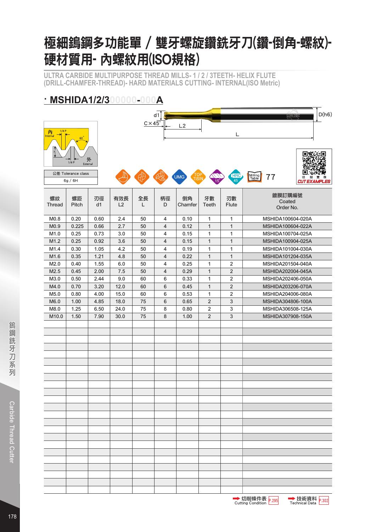# 極細鎢鋼多功能單 / 雙牙螺旋鑽銑牙刀(鑽-倒角-螺紋)-硬材質用- 內螺紋用(ISO規格)

**ULTRA CARBIDE MULTIPURPOSE THREAD MILLS- 1 / 2 / 3TEETH- HELIX FLUTE (DRILL-CHAMFER-THREAD)- HARD MATERIALS CUTTING- INTERNAL(ISO Metric)**

#### **· MSHIDA1/2/300000-000A**

|                       |                               |          |           | $C \times 45^\circ$ | d1             |                   |                    |                         | D(h6)<br><b>GARDINE</b>                            |
|-----------------------|-------------------------------|----------|-----------|---------------------|----------------|-------------------|--------------------|-------------------------|----------------------------------------------------|
| 1/4P<br>內<br>Internal | 60                            |          |           |                     |                | L2                |                    | L                       |                                                    |
|                       | 1/8P<br>External              | 外        |           |                     |                |                   |                    |                         |                                                    |
|                       | 公差 Tolerance class<br>6g / 6H |          |           |                     |                | UMG<br><b>TiS</b> |                    | <b>HRC</b><br>45        | Milling<br>Table<br>77<br>切<br><b>CUT EXAMPLES</b> |
| 螺紋<br><b>Thread</b>   | 螺距<br>Pitch                   | 刃徑<br>d1 | 有效長<br>L2 | 全長<br>L             | 柄徑<br>D        | 倒角<br>Chamfer     | 牙數<br><b>Teeth</b> | 刃數<br><b>Flute</b>      | 鍍膜訂購編號<br>Coated<br>Order No.                      |
| M <sub>0.8</sub>      | 0.20                          | 0.60     | 2.4       | 50                  | 4              | 0.10              | $\mathbf{1}$       | 1                       | MSHIDA100604-020A                                  |
| M <sub>0.9</sub>      | 0.225                         | 0.66     | 2.7       | 50                  | 4              | 0.12              | $\mathbf{1}$       | $\mathbf{1}$            | MSHIDA100604-022A                                  |
| M1.0                  | 0.25                          | 0.73     | 3.0       | 50                  | 4              | 0.15              | 1                  | 1                       | MSHIDA100704-025A                                  |
| M1.2                  | 0.25                          | 0.92     | 3.6       | 50                  | $\sqrt{4}$     | 0.15              | $\mathbf{1}$       | $\mathbf{1}$            | MSHIDA100904-025A                                  |
| M1.4                  | 0.30                          | 1.05     | 4.2       | 50                  | 4              | 0.19              | 1                  | 1                       | MSHIDA101004-030A                                  |
| M1.6                  | 0.35                          | 1.21     | 4.8       | 50                  | $\overline{4}$ | 0.22              | $\mathbf{1}$       | $\mathbf{1}$            | MSHIDA101204-035A                                  |
| M2.0                  | 0.40                          | 1.55     | 6.0       | 50                  | $\overline{4}$ | 0.25              | 1                  | $\mathbf 2$             | MSHIDA201504-040A                                  |
| M2.5                  | 0.45                          | 2.00     | 7.5       | 50                  | $\overline{4}$ | 0.29              | $\mathbf{1}$       | $\overline{2}$          | MSHIDA202004-045A                                  |
| M3.0                  | 0.50                          | 2.44     | 9.0       | 60                  | 6              | 0.33              | 1                  | $\mathbf 2$             | MSHIDA202406-050A                                  |
| M4.0                  | 0.70                          | 3.20     | 12.0      | 60                  | 6              | 0.45              | $\mathbf{1}$       | $\sqrt{2}$              | MSHIDA203206-070A                                  |
| M5.0                  | 0.80                          | 4.00     | 15.0      | 60                  | 6              | 0.53              | 1                  | $\overline{\mathbf{c}}$ | MSHIDA204006-080A                                  |
| M6.0                  | 1.00                          | 4.85     | 18.0      | 75                  | 6              | 0.65              | $\overline{2}$     | $\sqrt{3}$              | MSHIDA304806-100A                                  |
| M8.0                  | 1.25                          | 6.50     | 24.0      | 75                  | 8              | 0.80              | $\sqrt{2}$         | 3                       | MSHIDA306508-125A                                  |
| M10.0                 | 1.50                          | 7.90     | 30.0      | 75                  | 8              | 1.00              | $\sqrt{2}$         | $\sqrt{3}$              | MSHIDA307908-150A                                  |
|                       |                               |          |           |                     |                |                   |                    |                         |                                                    |
|                       |                               |          |           |                     |                |                   |                    |                         |                                                    |
|                       |                               |          |           |                     |                |                   |                    |                         |                                                    |
|                       |                               |          |           |                     |                |                   |                    |                         |                                                    |
|                       |                               |          |           |                     |                |                   |                    |                         |                                                    |
|                       |                               |          |           |                     |                |                   |                    |                         |                                                    |
|                       |                               |          |           |                     |                |                   |                    |                         |                                                    |
|                       |                               |          |           |                     |                |                   |                    |                         |                                                    |
|                       |                               |          |           |                     |                |                   |                    |                         |                                                    |
|                       |                               |          |           |                     |                |                   |                    |                         |                                                    |
|                       |                               |          |           |                     |                |                   |                    |                         |                                                    |
|                       |                               |          |           |                     |                |                   |                    |                         |                                                    |
|                       |                               |          |           |                     |                |                   |                    |                         |                                                    |
|                       |                               |          |           |                     |                |                   |                    |                         |                                                    |
|                       |                               |          |           |                     |                |                   |                    |                         |                                                    |
|                       |                               |          |           |                     |                |                   |                    |                         |                                                    |
|                       |                               |          |           |                     |                |                   |                    |                         |                                                    |
|                       |                               |          |           |                     |                |                   |                    |                         |                                                    |
|                       |                               |          |           |                     |                |                   |                    |                         |                                                    |
|                       |                               |          |           |                     |                |                   |                    |                         |                                                    |
|                       |                               |          |           |                     |                |                   |                    |                         |                                                    |
|                       |                               |          |           |                     |                |                   |                    |                         |                                                    |
|                       |                               |          |           |                     |                |                   |                    |                         | ᇳᄢᇥᄽ                                               |

切削條件表 Cutting Condition P.295 P.302

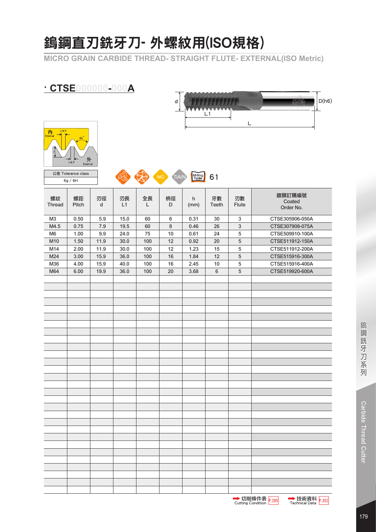# 鎢鋼直刃銑牙刀- 外螺紋用(ISO規格)

**MICRO GRAIN CARBIDE THREAD- STRAIGHT FLUTE- EXTERNAL(ISO Metric)** 

### **· CTSE000000-000A**





6g / 6H



| 螺紋<br>Thread   | 螺距<br>Pitch | 刃徑<br>d | 刃長<br>L1 | 全長<br>L | 柄徑<br>D | h<br>(mm) | 牙數<br>Teeth | 刃數<br>Flute  | 鍍膜訂購編號<br>Coated<br>Order No. |
|----------------|-------------|---------|----------|---------|---------|-----------|-------------|--------------|-------------------------------|
| M <sub>3</sub> | 0.50        | 5.9     | 15.0     | 60      | $\,6$   | 0.31      | 30          | $\mathbf{3}$ | CTSE305906-050A               |
| M4.5           | 0.75        | $7.9$   | 19.5     | 60      | $\bf 8$ | 0.46      | 26          | $\sqrt{3}$   | CTSE307908-075A               |
| M <sub>6</sub> | 1.00        | 9.9     | 24.0     | 75      | $10$    | 0.61      | 24          | $\,$ 5 $\,$  | CTSE509910-100A               |
| M10            | 1.50        | 11.9    | 30.0     | 100     | 12      | 0.92      | 20          | $\mathbf 5$  | CTSE511912-150A               |
| M14            | 2.00        | 11.9    | 30.0     | 100     | 12      | 1.23      | 15          | $\sqrt{5}$   | CTSE511912-200A               |
| M24            | 3.00        | 15.9    | 36.0     | 100     | 16      | 1.84      | 12          | $\sqrt{5}$   | CTSE515916-300A               |
| M36            | 4.00        | 15.9    | 40.0     | 100     | 16      | 2.45      | 10          | $\sqrt{5}$   | CTSE515916-400A               |
| M64            | 6.00        | 19.9    | 36.0     | 100     | 20      | 3.68      | $\,6\,$     | $\sqrt{5}$   | CTSE519920-600A               |
|                |             |         |          |         |         |           |             |              |                               |
|                |             |         |          |         |         |           |             |              |                               |
|                |             |         |          |         |         |           |             |              |                               |
|                |             |         |          |         |         |           |             |              |                               |
|                |             |         |          |         |         |           |             |              |                               |
|                |             |         |          |         |         |           |             |              |                               |
|                |             |         |          |         |         |           |             |              |                               |
|                |             |         |          |         |         |           |             |              |                               |
|                |             |         |          |         |         |           |             |              |                               |
|                |             |         |          |         |         |           |             |              |                               |
|                |             |         |          |         |         |           |             |              |                               |
|                |             |         |          |         |         |           |             |              |                               |
|                |             |         |          |         |         |           |             |              |                               |
|                |             |         |          |         |         |           |             |              |                               |
|                |             |         |          |         |         |           |             |              |                               |
|                |             |         |          |         |         |           |             |              |                               |
|                |             |         |          |         |         |           |             |              |                               |
|                |             |         |          |         |         |           |             |              |                               |
|                |             |         |          |         |         |           |             |              |                               |
|                |             |         |          |         |         |           |             |              |                               |
|                |             |         |          |         |         |           |             |              |                               |
|                |             |         |          |         |         |           |             |              |                               |
|                |             |         |          |         |         |           |             |              |                               |
|                |             |         |          |         |         |           |             |              |                               |
|                |             |         |          |         |         |           |             |              |                               |
|                |             |         |          |         |         |           |             |              |                               |
|                |             |         |          |         |         |           |             |              |                               |
|                |             |         |          |         |         |           |             |              |                               |
|                |             |         |          |         |         |           |             |              |                               |

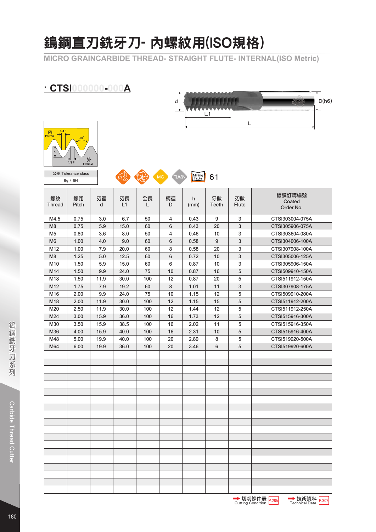# 鎢鋼直刃銑牙刀- 內螺紋用(ISO規格)

**MICRO GRAINCARBIDE THREAD- STRAIGHT FLUTE- INTERNAL(ISO Metric)**

### **· CTSI000000-000A**





公差 Tolerance class and the Milling of the City of TIAZN Trable 61 6g / 6H

| 螺紋<br>Thread   | 螺距<br>Pitch | 刃徑<br>d | 刃長<br>L1 | 全長<br>L | 柄徑<br>D | h<br>(mm) | 牙數<br>Teeth      | 刃數<br>Flute    | 鍍膜訂購編號<br>Coated<br>Order No. |
|----------------|-------------|---------|----------|---------|---------|-----------|------------------|----------------|-------------------------------|
| M4.5           | 0.75        | 3.0     | 6.7      | 50      | 4       | 0.43      | 9                | $\mathbf{3}$   | CTSI303004-075A               |
| M <sub>8</sub> | 0.75        | 5.9     | 15.0     | 60      | 6       | 0.43      | 20               | $\mathbf{3}$   | CTSI305906-075A               |
| M <sub>5</sub> | 0.80        | 3.6     | 8.0      | 50      | 4       | 0.46      | 10               | $\sqrt{3}$     | CTSI303604-080A               |
| M <sub>6</sub> | 1.00        | 4.0     | 9.0      | 60      | 6       | 0.58      | $\boldsymbol{9}$ | $\mathbf{3}$   | CTSI304006-100A               |
| M12            | 1.00        | 7.9     | 20.0     | 60      | 8       | 0.58      | 20               | 3              | CTSI307908-100A               |
| M8             | 1.25        | 5.0     | 12.5     | 60      | 6       | 0.72      | 10               | 3              | CTSI305006-125A               |
| M10            | 1.50        | 5.9     | 15.0     | 60      | $\,6\,$ | 0.87      | 10               | $\sqrt{3}$     | CTSI305906-150A               |
| M14            | 1.50        | 9.9     | 24.0     | 75      | 10      | 0.87      | 16               | $\overline{5}$ | CTSI509910-150A               |
| M18            | 1.50        | 11.9    | 30.0     | 100     | 12      | 0.87      | 20               | 5              | CTSI511912-150A               |
| M12            | 1.75        | 7.9     | 19.2     | 60      | $\,8\,$ | 1.01      | 11               | $\sqrt{3}$     | CTSI307908-175A               |
| M16            | 2.00        | 9.9     | 24.0     | 75      | 10      | 1.15      | 12               | 5              | CTSI509910-200A               |
| M18            | 2.00        | 11.9    | 30.0     | 100     | 12      | 1.15      | 15               | $5\,$          | CTSI511912-200A               |
| M20            | 2.50        | 11.9    | 30.0     | 100     | 12      | 1.44      | 12               | 5              | CTSI511912-250A               |
| M24            | 3.00        | 15.9    | 36.0     | 100     | 16      | 1.73      | 12               | $\overline{5}$ | CTSI515916-300A               |
| M30            | 3.50        | 15.9    | 38.5     | 100     | 16      | 2.02      | 11               | 5              | CTSI515916-350A               |
| M36            | 4.00        | 15.9    | 40.0     | 100     | 16      | 2.31      | 10               | $\sqrt{5}$     | CTSI515916-400A               |
| M48            | 5.00        | 19.9    | 40.0     | 100     | 20      | 2.89      | 8                | 5              | CTSI519920-500A               |
| M64            | 6.00        | 19.9    | 36.0     | 100     | 20      | 3.46      | 6                | $\overline{5}$ | CTSI519920-600A               |
|                |             |         |          |         |         |           |                  |                |                               |
|                |             |         |          |         |         |           |                  |                |                               |
|                |             |         |          |         |         |           |                  |                |                               |
|                |             |         |          |         |         |           |                  |                |                               |
|                |             |         |          |         |         |           |                  |                |                               |
|                |             |         |          |         |         |           |                  |                |                               |
|                |             |         |          |         |         |           |                  |                |                               |
|                |             |         |          |         |         |           |                  |                |                               |
|                |             |         |          |         |         |           |                  |                |                               |
|                |             |         |          |         |         |           |                  |                |                               |
|                |             |         |          |         |         |           |                  |                |                               |
|                |             |         |          |         |         |           |                  |                |                               |
|                |             |         |          |         |         |           |                  |                |                               |
|                |             |         |          |         |         |           |                  |                |                               |
|                |             |         |          |         |         |           |                  |                |                               |
|                |             |         |          |         |         |           |                  |                |                               |
|                |             |         |          |         |         |           |                  |                |                               |
|                |             |         |          |         |         |           |                  |                |                               |
|                |             |         |          |         |         |           |                  |                |                               |



▒鋼鈸牙刀系列 Carbide Thread Cutter

**Carbide Thread Cutter** 

鎢鋼銑牙刀系列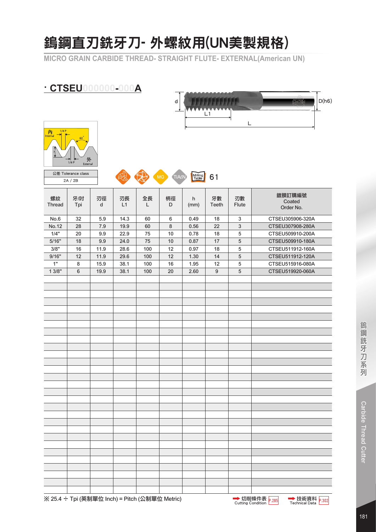### 鎢鋼直刃銑牙刀- 外螺紋用(UN美製規格)

**MICRO GRAIN CARBIDE THREAD- STRAIGHT FLUTE- EXTERNAL(American UN)**

### **· CTSEU000000-000A**





公差 Tolerance class and the Contract of TiACN Trable 61 2A / 2B

| 螺紋<br><b>Thread</b> | 牙⁄吋<br>Tpi     | 刃徑<br>d | 刃長<br>L1 | 全長<br>L | 柄徑<br>D | h<br>(mm) | 牙數<br>Teeth | 刃數<br>Flute    | 鍍膜訂購編號<br>Coated<br>Order No. |
|---------------------|----------------|---------|----------|---------|---------|-----------|-------------|----------------|-------------------------------|
| No.6                | 32             | 5.9     | 14.3     | 60      | 6       | 0.49      | 18          | $\sqrt{3}$     | CTSEU305906-320A              |
| No.12               | 28             | $7.9$   | 19.9     | 60      | $\bf 8$ | 0.56      | 22          | $\mathbf{3}$   | CTSEU307908-280A              |
| 1/4"                | 20             | 9.9     | 22.9     | 75      | $10$    | 0.78      | 18          | $\sqrt{5}$     | CTSEU509910-200A              |
| 5/16"               | 18             | 9.9     | 24.0     | 75      | $10$    | 0.87      | $17$        | $\overline{5}$ | CTSEU509910-180A              |
| 3/8"                | 16             | 11.9    | 28.6     | 100     | 12      | 0.97      | 18          | $\,$ 5 $\,$    | CTSEU511912-160A              |
| 9/16"               | 12             | 11.9    | 29.6     | 100     | 12      | 1.30      | 14          | 5              | CTSEU511912-120A              |
| 1"                  | $\bf 8$        | 15.9    | 38.1     | 100     | 16      | 1.95      | 12          | $\sqrt{5}$     | CTSEU515916-080A              |
| 13/8"               | $6\phantom{a}$ | 19.9    | 38.1     | 100     | 20      | 2.60      | $9\,$       | $\sqrt{5}$     | CTSEU519920-060A              |
|                     |                |         |          |         |         |           |             |                |                               |
|                     |                |         |          |         |         |           |             |                |                               |
|                     |                |         |          |         |         |           |             |                |                               |
|                     |                |         |          |         |         |           |             |                |                               |
|                     |                |         |          |         |         |           |             |                |                               |
|                     |                |         |          |         |         |           |             |                |                               |
|                     |                |         |          |         |         |           |             |                |                               |
|                     |                |         |          |         |         |           |             |                |                               |
|                     |                |         |          |         |         |           |             |                |                               |
|                     |                |         |          |         |         |           |             |                |                               |
|                     |                |         |          |         |         |           |             |                |                               |
|                     |                |         |          |         |         |           |             |                |                               |
|                     |                |         |          |         |         |           |             |                |                               |
|                     |                |         |          |         |         |           |             |                |                               |
|                     |                |         |          |         |         |           |             |                |                               |
|                     |                |         |          |         |         |           |             |                |                               |
|                     |                |         |          |         |         |           |             |                |                               |
|                     |                |         |          |         |         |           |             |                |                               |
|                     |                |         |          |         |         |           |             |                |                               |
|                     |                |         |          |         |         |           |             |                |                               |
|                     |                |         |          |         |         |           |             |                |                               |
|                     |                |         |          |         |         |           |             |                |                               |
|                     |                |         |          |         |         |           |             |                |                               |
|                     |                |         |          |         |         |           |             |                |                               |
|                     |                |         |          |         |         |           |             |                |                               |
|                     |                |         |          |         |         |           |             |                |                               |
|                     |                |         |          |         |         |           |             |                |                               |
|                     |                |         |          |         |         |           |             |                |                               |
|                     |                |         |          |         |         |           |             |                |                               |

**→ 切削條件表 p.285 技術資料 p.302**<br>Cutting Condition Technical Data

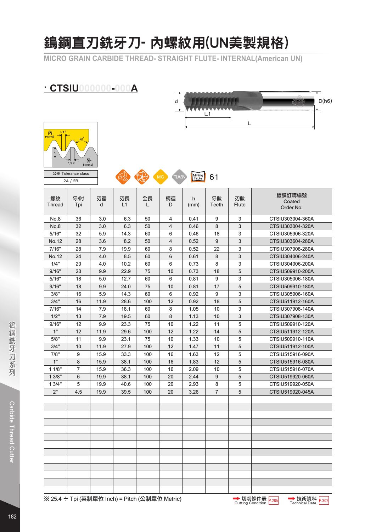# 鎢鋼直刃銑牙刀- 內螺紋用(UN美製規格)

**MICRO GRAIN CARBIDE THREAD- STRAIGHT FLUTE- INTERNAL(American UN)**

### **· CTSIU000000-000A**





2A / 2B

公差 Tolerance class and the Contract of TiACN Trable 61

| 螺紋<br><b>Thread</b> | 牙⁄吋<br>Tpi     | 刃徑<br>d | 刃長<br>L1 | 全長<br>L | 柄徑<br>D | h<br>(mm) | 牙數<br>Teeth    | 刃數<br>Flute    | 鍍膜訂購編號<br>Coated<br>Order No. |
|---------------------|----------------|---------|----------|---------|---------|-----------|----------------|----------------|-------------------------------|
| No.8                | 36             | 3.0     | 6.3      | 50      | 4       | 0.41      | 9              | 3              | CTSIU303004-360A              |
| No.8                | 32             | 3.0     | 6.3      | 50      | 4       | 0.46      | 8              | $\mathfrak{S}$ | CTSIU303004-320A              |
| 5/16"               | 32             | 5.9     | 14.3     | 60      | 6       | 0.46      | 18             | 3              | CTSIU305906-320A              |
| No.12               | 28             | 3.6     | 8.2      | 50      | 4       | 0.52      | 9              | 3              | CTSIU303604-280A              |
| 7/16"               | 28             | 7.9     | 19.9     | 60      | 8       | 0.52      | 22             | 3              | CTSIU307908-280A              |
| No.12               | 24             | 4.0     | 8.5      | 60      | 6       | 0.61      | 8              | 3              | CTSIU304006-240A              |
| 1/4"                | 20             | 4.0     | 10.2     | 60      | 6       | 0.73      | 8              | 3              | CTSIU304006-200A              |
| 9/16"               | 20             | 9.9     | 22.9     | 75      | 10      | 0.73      | 18             | 5              | CTSIU509910-200A              |
| 5/16"               | 18             | 5.0     | 12.7     | 60      | 6       | 0.81      | 9              | 3              | CTSIU305006-180A              |
| 9/16"               | 18             | 9.9     | 24.0     | 75      | 10      | 0.81      | 17             | 5              | CTSIU509910-180A              |
| 3/8"                | 16             | 5.9     | 14.3     | 60      | 6       | 0.92      | 9              | 3              | CTSIU305906-160A              |
| 3/4"                | 16             | 11.9    | 28.6     | 100     | 12      | 0.92      | 18             | 5              | CTSIU511912-160A              |
| 7/16"               | 14             | 7.9     | 18.1     | 60      | 8       | 1.05      | 10             | 3              | CTSIU307908-140A              |
| 1/2"                | 13             | 7.9     | 19.5     | 60      | 8       | 1.13      | 10             | 3              | CTSIU307908-130A              |
| 9/16"               | 12             | 9.9     | 23.3     | 75      | 10      | 1.22      | 11             | 5              | CTSIU509910-120A              |
| 1"                  | 12             | 11.9    | 29.6     | 100     | 12      | 1.22      | 14             | 5              | CTSIU511912-120A              |
| 5/8"                | 11             | 9.9     | 23.1     | 75      | 10      | 1.33      | 10             | 5              | CTSIU509910-110A              |
| 3/4"                | 10             | 11.9    | 27.9     | 100     | 12      | 1.47      | 11             | 5              | CTSIU511912-100A              |
| 7/8"                | 9              | 15.9    | 33.3     | 100     | 16      | 1.63      | 12             | 5              | CTSIU515916-090A              |
| 1"                  | 8              | 15.9    | 38.1     | 100     | 16      | 1.83      | 12             | 5              | CTSIU515916-080A              |
| 11/8"               | $\overline{7}$ | 15.9    | 36.3     | 100     | 16      | 2.09      | 10             | 5              | CTSIU515916-070A              |
| 13/8"               | 6              | 19.9    | 38.1     | 100     | 20      | 2.44      | 9              | 5              | CTSIU519920-060A              |
| 13/4"               | 5              | 19.9    | 40.6     | 100     | 20      | 2.93      | 8              | 5              | CTSIU519920-050A              |
| 2"                  | 4.5            | 19.9    | 39.5     | 100     | 20      | 3.26      | $\overline{7}$ | 5              | CTSIU519920-045A              |
|                     |                |         |          |         |         |           |                |                |                               |
|                     |                |         |          |         |         |           |                |                |                               |
|                     |                |         |          |         |         |           |                |                |                               |
|                     |                |         |          |         |         |           |                |                |                               |
|                     |                |         |          |         |         |           |                |                |                               |
|                     |                |         |          |         |         |           |                |                |                               |
|                     |                |         |          |         |         |           |                |                |                               |
|                     |                |         |          |         |         |           |                |                |                               |
|                     |                |         |          |         |         |           |                |                |                               |
|                     |                |         |          |         |         |           |                |                |                               |
|                     |                |         |          |         |         |           |                |                |                               |
|                     |                |         |          |         |         |           |                |                |                               |
|                     |                |         |          |         |         |           |                |                |                               |

※ 25.4 ÷ Tpi (英制單位 Inch) = Pitch (公制單位 Metric)

**→ 切削條件表 p.285 技術資料 p.302**<br>Cutting Condition Technical Data

→技術資料 P.302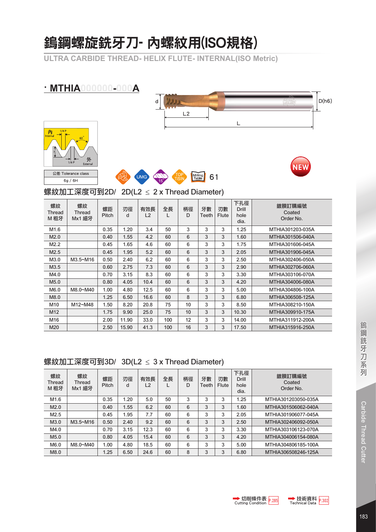# 鎢鋼螺旋銑牙刀- 內螺紋用(ISO規格)

**ULTRA CARBIDE THREAD- HELIX FLUTE- INTERNAL(ISO Metric)**

#### **· MTHIA000000-000A**









螺紋加工深度可到2D/ 2D(L2 ≤ 2 x Thread Diameter)

| 螺紋<br>Thread<br>M 粗牙 | 螺紋<br>Thread<br>Mx1 細牙 | 螺距<br>Pitch | 刃徑<br>d | 有效長<br>L2 | 全長<br>L | 柄徑<br>D | 牙數<br>Teeth | 刃數<br>Flute | 下孔徑<br>Drill<br>hole<br>dia. | 鍍膜訂購編號<br>Coated<br>Order No. |
|----------------------|------------------------|-------------|---------|-----------|---------|---------|-------------|-------------|------------------------------|-------------------------------|
| M <sub>1.6</sub>     |                        | 0.35        | 1.20    | 3.4       | 50      | 3       | 3           | 3           | 1.25                         | MTHIA301203-035A              |
| M2.0                 |                        | 0.40        | 1.55    | 4.2       | 60      | 6       | 3           | 3           | 1.60                         | MTHIA301506-040A              |
| M2.2                 |                        | 0.45        | 1.65    | 4.6       | 60      | 6       | 3           | 3           | 1.75                         | MTHIA301606-045A              |
| M2.5                 |                        | 0.45        | 1.95    | 5.2       | 60      | 6       | 3           | 3           | 2.05                         | MTHIA301906-045A              |
| M3.0                 | M3.5~M16               | 0.50        | 2.40    | 6.2       | 60      | 6       | 3           | 3           | 2.50                         | MTHIA302406-050A              |
| M3.5                 |                        | 0.60        | 2.75    | 7.3       | 60      | 6       | 3           | 3           | 2.90                         | MTHIA302706-060A              |
| M4.0                 |                        | 0.70        | 3.15    | 8.3       | 60      | 6       | 3           | 3           | 3.30                         | MTHIA303106-070A              |
| M5.0                 |                        | 0.80        | 4.05    | 10.4      | 60      | 6       | 3           | 3           | 4.20                         | MTHIA304006-080A              |
| M6.0                 | M8.0~M40               | 1.00        | 4.80    | 12.5      | 60      | 6       | 3           | 3           | 5.00                         | MTHIA304806-100A              |
| M8.0                 |                        | 1.25        | 6.50    | 16.6      | 60      | 8       | 3           | 3           | 6.80                         | MTHIA306508-125A              |
| M <sub>10</sub>      | M12~M48                | 1.50        | 8.20    | 20.8      | 75      | 10      | 3           | 3           | 8.50                         | MTHIA308210-150A              |
| M12                  |                        | 1.75        | 9.90    | 25.0      | 75      | 10      | 3           | 3           | 10.30                        | MTHIA309910-175A              |
| M16                  |                        | 2.00        | 11.90   | 33.0      | 100     | 12      | 3           | 3           | 14.00                        | MTHIA311912-200A              |
| M20                  |                        | 2.50        | 15.90   | 41.3      | 100     | 16      | 3           | 3           | 17.50                        | MTHIA315916-250A              |

#### 螺紋加工深度可到3D/ 3D(L2 ≤ 3 x Thread Diameter)

| 螺紋<br>Thread<br>M 粗牙 | 螺紋<br>Thread<br>Mx1 細牙 | 螺距<br>Pitch | 刃徑<br>d | 有效長<br>L <sub>2</sub> | 全長 | 柄徑<br>D | 牙數<br>Teeth | 刃數<br>Flute | 下孔徑<br>Drill<br>hole<br>dia. | 鍍膜訂購編號<br>Coated<br>Order No. |
|----------------------|------------------------|-------------|---------|-----------------------|----|---------|-------------|-------------|------------------------------|-------------------------------|
| M1.6                 |                        | 0.35        | 1.20    | 5.0                   | 50 | 3       | 3           | 3           | 1.25                         | MTHIA301203050-035A           |
| M2.0                 |                        | 0.40        | 1.55    | 6.2                   | 60 | 6       | 3           | 3           | 1.60                         | MTHIA301506062-040A           |
| M2.5                 |                        | 0.45        | 1.95    | 7.7                   | 60 | 6       | 3           | 3           | 2.05                         | MTHIA301906077-045A           |
| M3.0                 | $M3.5 \sim M16$        | 0.50        | 2.40    | 9.2                   | 60 | 6       | 3           | 3           | 2.50                         | MTHIA302406092-050A           |
| M4.0                 |                        | 0.70        | 3.15    | 12.3                  | 60 | 6       | 3           | 3           | 3.30                         | MTHIA303106123-070A           |
| M5.0                 |                        | 0.80        | 4.05    | 15.4                  | 60 | 6       | 3           | 3           | 4.20                         | MTHIA304006154-080A           |
| M6.0                 | M8.0~M40               | 1.00        | 4.80    | 18.5                  | 60 | 6       | 3           | 3           | 5.00                         | MTHIA304806185-100A           |
| M8.0                 |                        | 1.25        | 6.50    | 24.6                  | 60 | 8       | 3           | 3           | 6.80                         | MTHIA306508246-125A           |





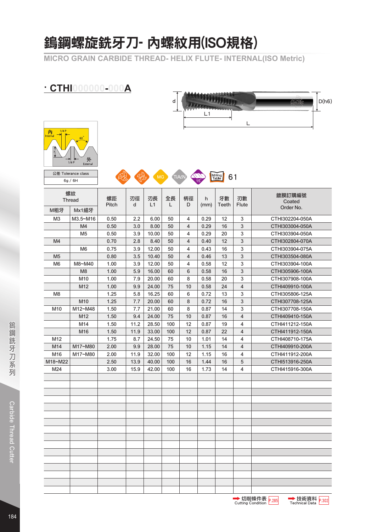### 鎢鋼螺旋銑牙刀- 內螺紋用(ISO規格)

**MICRO GRAIN CARBIDE THREAD- HELIX FLUTE- INTERNAL(ISO Metric)**

### **· CTHI000000-000A**





公差 Tolerance class COVE CONTROL TIACH CONTROL CONTROL CONTROL CONTROL CONTROL CONTROL CONTROL CONTROL CONTROL CONTROL CONTROL CONTROL CONTROL CONTROL CONTROL CONTROL CONTROL CONTROL CONTROL CONTROL CONTROL CONTROL CONTROL 6g / 6H

| 螺紋<br><b>Thread</b> |                 | 螺距<br>Pitch | 刃徑<br>d | 刃長<br>L1 | 全長<br>L | 柄徑<br>D        | h<br>(mm) | 牙數<br>Teeth | 刃數<br><b>Flute</b>      | 鍍膜訂購編號<br>Coated |
|---------------------|-----------------|-------------|---------|----------|---------|----------------|-----------|-------------|-------------------------|------------------|
| M粗牙                 | Mx1細牙           |             |         |          |         |                |           |             |                         | Order No.        |
| M <sub>3</sub>      | M3.5~M16        | 0.50        | 2.2     | 6.00     | 50      | 4              | 0.29      | 12          | 3                       | CTHI302204-050A  |
|                     | M4              | 0.50        | 3.0     | 8.00     | 50      | $\overline{4}$ | 0.29      | 16          | 3                       | CTHI303004-050A  |
|                     | M <sub>5</sub>  | 0.50        | 3.9     | 10.00    | 50      | $\overline{4}$ | 0.29      | 20          | 3                       | CTHI303904-050A  |
| M4                  |                 | 0.70        | 2.8     | 8.40     | 50      | $\overline{4}$ | 0.40      | 12          | 3                       | CTHI302804-070A  |
|                     | M6              | 0.75        | 3.9     | 12.00    | 50      | $\overline{4}$ | 0.43      | 16          | 3                       | CTHI303904-075A  |
| M <sub>5</sub>      |                 | 0.80        | 3.5     | 10.40    | 50      | $\overline{4}$ | 0.46      | 13          | 3                       | CTHI303504-080A  |
| M <sub>6</sub>      | M8~M40          | 1.00        | 3.9     | 12.00    | 50      | 4              | 0.58      | 12          | 3                       | CTHI303904-100A  |
|                     | M <sub>8</sub>  | 1.00        | 5.9     | 16.00    | 60      | 6              | 0.58      | 16          | $\mathbf{3}$            | CTHI305906-100A  |
|                     | M <sub>10</sub> | 1.00        | 7.9     | 20.00    | 60      | 8              | 0.58      | 20          | 3                       | CTHI307908-100A  |
|                     | M12             | 1.00        | 9.9     | 24.00    | 75      | 10             | 0.58      | 24          | $\overline{4}$          | CTHI409910-100A  |
| M <sub>8</sub>      |                 | 1.25        | 5.8     | 16.25    | 60      | 6              | 0.72      | 13          | 3                       | CTHI305806-125A  |
|                     | M <sub>10</sub> | 1.25        | 7.7     | 20.00    | 60      | 8              | 0.72      | 16          | 3                       | CTHI307708-125A  |
| M <sub>10</sub>     | M12~M48         | 1.50        | 7.7     | 21.00    | 60      | 8              | 0.87      | 14          | 3                       | CTHI307708-150A  |
|                     | M12             | 1.50        | 9.4     | 24.00    | 75      | 10             | 0.87      | 16          | $\overline{\mathbf{4}}$ | CTHI409410-150A  |
|                     | M14             | 1.50        | 11.2    | 28.50    | 100     | 12             | 0.87      | 19          | 4                       | CTHI411212-150A  |
|                     | M16             | 1.50        | 11.9    | 33.00    | 100     | 12             | 0.87      | 22          | 4                       | CTHI411912-150A  |
| M12                 |                 | 1.75        | 8.7     | 24.50    | 75      | 10             | 1.01      | 14          | 4                       | CTHI408710-175A  |
| M14                 | M17~M80         | 2.00        | 9.9     | 28.00    | 75      | 10             | 1.15      | 14          | 4                       | CTHI409910-200A  |
| M16                 | M17~M80         | 2.00        | 11.9    | 32.00    | 100     | 12             | 1.15      | 16          | 4                       | CTHI411912-200A  |
| M18~M22             |                 | 2.50        | 13.9    | 40.00    | 100     | 16             | 1.44      | 16          | 5                       | CTHI513916-250A  |
| M24                 |                 | 3.00        | 15.9    | 42.00    | 100     | 16             | 1.73      | 14          | 4                       | CTHI415916-300A  |
|                     |                 |             |         |          |         |                |           |             |                         |                  |
|                     |                 |             |         |          |         |                |           |             |                         |                  |
|                     |                 |             |         |          |         |                |           |             |                         |                  |
|                     |                 |             |         |          |         |                |           |             |                         |                  |
|                     |                 |             |         |          |         |                |           |             |                         |                  |
|                     |                 |             |         |          |         |                |           |             |                         |                  |
|                     |                 |             |         |          |         |                |           |             |                         |                  |
|                     |                 |             |         |          |         |                |           |             |                         |                  |
|                     |                 |             |         |          |         |                |           |             |                         |                  |
|                     |                 |             |         |          |         |                |           |             |                         |                  |
|                     |                 |             |         |          |         |                |           |             |                         |                  |
|                     |                 |             |         |          |         |                |           |             |                         |                  |
|                     |                 |             |         |          |         |                |           |             |                         |                  |
|                     |                 |             |         |          |         |                |           |             |                         |                  |
|                     |                 |             |         |          |         |                |           |             |                         |                  |
|                     |                 |             |         |          |         |                |           |             |                         |                  |

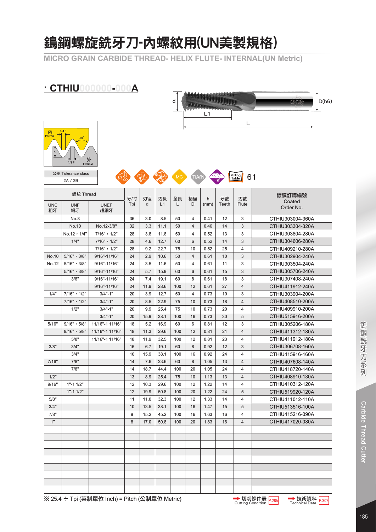### 鎢鋼螺旋銑牙刀-內螺紋用(UN美製規格)

**MICRO GRAIN CARBIDE THREAD- HELIX FLUTE- INTERNAL(UN Metric)**

| <b>CTHIU000000-000A</b> |                                                                                                                      |                    |     |      |                 |     |    |      |              |              |                     |  |  |  |  |
|-------------------------|----------------------------------------------------------------------------------------------------------------------|--------------------|-----|------|-----------------|-----|----|------|--------------|--------------|---------------------|--|--|--|--|
|                         |                                                                                                                      |                    |     |      | D(h6)<br>CMTTEC |     |    |      |              |              |                     |  |  |  |  |
|                         |                                                                                                                      |                    |     |      |                 |     |    |      |              |              |                     |  |  |  |  |
|                         |                                                                                                                      |                    |     |      |                 |     |    | L1   |              |              |                     |  |  |  |  |
|                         |                                                                                                                      |                    |     |      |                 |     |    |      |              | L            |                     |  |  |  |  |
| 內<br><b>Internal</b>    | 1/4P<br>60<br>外<br>1/8P<br>External<br>公差 Tolerance class<br>Milling<br>Table<br>61<br>TiALI<br><b>MG</b><br>2A / 2B |                    |     |      |                 |     |    |      |              |              |                     |  |  |  |  |
|                         |                                                                                                                      |                    |     |      |                 |     |    |      |              |              |                     |  |  |  |  |
|                         | 螺紋 Thread                                                                                                            |                    | 牙/时 | 刃徑   | 刃長              | 全長  | 柄徑 | h    | 牙數           | 刃數           | 鍍膜訂購編號              |  |  |  |  |
| <b>UNC</b><br>粗牙        | <b>UNF</b><br>細牙                                                                                                     | <b>UNEF</b><br>超細牙 | Tpi | d    | L1              | L   | D  | (mm) | <b>Teeth</b> | <b>Flute</b> | Coated<br>Order No. |  |  |  |  |
|                         | No.8                                                                                                                 |                    | 36  | 3.0  | 8.5             | 50  | 4  | 0.41 | 12           | 3            | CTHIU303004-360A    |  |  |  |  |
|                         | No.10                                                                                                                | No.12-3/8"         | 32  | 3.3  | 11.1            | 50  | 4  | 0.46 | 14           | 3            | CTHIU303304-320A    |  |  |  |  |
|                         | No.12, 1/4"                                                                                                          | 7/16", 1/2"        | 28  | 3.8  | 11.8            | 50  | 4  | 0.52 | 13           | 3            | CTHIU303804-280A    |  |  |  |  |
|                         | 1/4"                                                                                                                 | $7/16"$ , $1/2"$   | 28  | 4.6  | 12.7            | 60  | 6  | 0.52 | 14           | 3            | CTHIU304606-280A    |  |  |  |  |
|                         |                                                                                                                      | 7/16", 1/2"        | 28  | 9.2  | 22.7            | 75  | 10 | 0.52 | 25           | 4            | CTHIU409210-280A    |  |  |  |  |
| No.10                   | $5/16"$ , $3/8"$                                                                                                     | 9/16"-11/16"       | 24  | 2.9  | 10.6            | 50  | 4  | 0.61 | 10           | 3            | CTHIU302904-240A    |  |  |  |  |
| No.12                   | $5/16"$ , $3/8"$                                                                                                     | 9/16"-11/16"       | 24  | 3.5  | 11.6            | 50  | 4  | 0.61 | 11           | 3            | CTHIU303504-240A    |  |  |  |  |
|                         | $5/16"$ , $3/8"$                                                                                                     | 9/16"-11/16"       | 24  | 5.7  | 15.9            | 60  | 6  | 0.61 | 15           | 3            | CTHIU305706-240A    |  |  |  |  |
|                         | 3/8"                                                                                                                 | 9/16"-11/16"       | 24  | 7.4  | 19.1            | 60  | 8  | 0.61 | 18           | 3            | CTHIU307408-240A    |  |  |  |  |
|                         |                                                                                                                      | 9/16"-11/16"       | 24  | 11.9 | 28.6            | 100 | 12 | 0.61 | 27           | 4            | CTHIU411912-240A    |  |  |  |  |
| 1/4"                    | 7/16", 1/2"                                                                                                          | $3/4" - 1"$        | 20  | 3.9  | 12.7            | 50  | 4  | 0.73 | 10           | 3            | CTHIU303904-200A    |  |  |  |  |
|                         | 7/16", 1/2"                                                                                                          | $3/4" - 1"$        | 20  | 8.5  | 22.9            | 75  | 10 | 0.73 | 18           | 4            | CTHIU408510-200A    |  |  |  |  |
|                         | 1/2"                                                                                                                 | $3/4" - 1"$        | 20  | 9.9  | 25.4            | 75  | 10 | 0.73 | 20           | 4            | CTHIU409910-200A    |  |  |  |  |
|                         |                                                                                                                      | $3/4" - 1"$        | 20  | 15.9 | 38.1            | 100 | 16 | 0.73 | 30           | 5            | CTHIU515916-200A    |  |  |  |  |
| 5/16"                   | 9/16", 5/8"                                                                                                          | 11/16"-1 11/16"    | 18  | 5.2  | 16.9            | 60  | 6  | 0.81 | 12           | 3            | CTHIU305206-180A    |  |  |  |  |
|                         | $9/16"$ , $5/8"$                                                                                                     | 11/16"-1 11/16"    | 18  | 11.3 | 29.6            | 100 | 12 | 0.81 | 21           | 4            | CTHIU411312-180A    |  |  |  |  |
|                         | 5/8"                                                                                                                 | 11/16"-1 11/16"    | 18  | 11.9 | 32.5            | 100 | 12 | 0.81 | 23           | 4            | CTHIU411912-180A    |  |  |  |  |
| 3/8"                    | 3/4"                                                                                                                 |                    | 16  | 6.7  | 19.1            | 60  | 8  | 0.92 | 12           | 3            | CTHIU306708-160A    |  |  |  |  |
|                         | 3/4"                                                                                                                 |                    | 16  | 15.9 | 38.1            | 100 | 16 | 0.92 | 24           | 4            | CTHIU415916-160A    |  |  |  |  |
| 7/16"                   | 7/8"                                                                                                                 |                    | 14  | 7.6  | 23.6            | 60  | 8  | 1.05 | 13           | 4            | CTHIU407608-140A    |  |  |  |  |
|                         | 7/8"                                                                                                                 |                    | 14  | 18.7 | 44.4            | 100 | 20 | 1.05 | 24           | 4            | CTHIU418720-140A    |  |  |  |  |
| 1/2"                    |                                                                                                                      |                    | 13  | 8.9  | 25.4            | 75  | 10 | 1.13 | 13           | 4            | CTHIU408910-130A    |  |  |  |  |
| 9/16"                   | $1" - 11/2"$                                                                                                         |                    | 12  | 10.3 | 29.6            | 100 | 12 | 1.22 | 14           | 4            | CTHIU410312-120A    |  |  |  |  |
|                         | $1" - 11/2"$                                                                                                         |                    | 12  | 19.9 | 50.8            | 100 | 20 | 1.22 | 24           | 5            | CTHIU519920-120A    |  |  |  |  |
| 5/8"                    |                                                                                                                      |                    | 11  | 11.0 | 32.3            | 100 | 12 | 1.33 | 14           | 4            | CTHIU411012-110A    |  |  |  |  |
| 3/4"                    |                                                                                                                      |                    | 10  | 13.5 | 38.1            | 100 | 16 | 1.47 | 15           | 5            | CTHIU513516-100A    |  |  |  |  |
| 7/8"                    |                                                                                                                      |                    | 9   | 15.2 | 45.2            | 100 | 16 | 1.63 | 16           | 4            | CTHIU415216-090A    |  |  |  |  |
| 1"                      |                                                                                                                      |                    | 8   | 17.0 | 50.8            | 100 | 20 | 1.83 | 16           | 4            | CTHIU417020-080A    |  |  |  |  |
|                         |                                                                                                                      |                    |     |      |                 |     |    |      |              |              |                     |  |  |  |  |
|                         |                                                                                                                      |                    |     |      |                 |     |    |      |              |              |                     |  |  |  |  |
|                         |                                                                                                                      |                    |     |      |                 |     |    |      |              |              |                     |  |  |  |  |
|                         |                                                                                                                      |                    |     |      |                 |     |    |      |              |              |                     |  |  |  |  |
|                         |                                                                                                                      |                    |     |      |                 |     |    |      |              |              |                     |  |  |  |  |
|                         |                                                                                                                      |                    |     |      |                 |     |    |      |              |              |                     |  |  |  |  |
|                         |                                                                                                                      |                    |     |      |                 |     |    |      |              |              |                     |  |  |  |  |
|                         |                                                                                                                      |                    |     |      |                 |     |    |      |              |              |                     |  |  |  |  |
|                         |                                                                                                                      |                    |     |      |                 |     |    |      |              |              |                     |  |  |  |  |

**→技術資料**<br>Technical Data **→ 切削條件表 p.285 技術資料 p.302**<br>Cutting Condition Technical Data

Carbide Thread Cutter